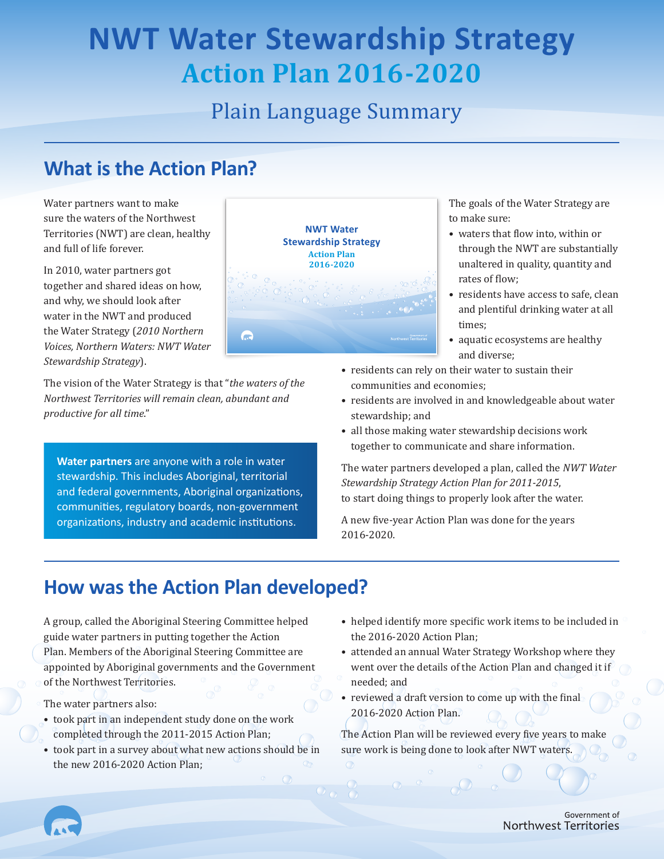# **NWT Water Stewardship Strategy Action Plan 2016-2020**

# Plain Language Summary

# **What is the Action Plan?**

Water partners want to make sure the waters of the Northwest Territories (NWT) are clean, healthy and full of life forever.

In 2010, water partners got together and shared ideas on how, and why, we should look after water in the NWT and produced the Water Strategy (*2010 Northern Voices, Northern Waters: NWT Water Stewardship Strategy*).

The vision of the Water Strategy is that "*the waters of the Northwest Territories will remain clean, abundant and productive for all time*."

**Water partners** are anyone with a role in water stewardship. This includes Aboriginal, territorial and federal governments, Aboriginal organizations, communities, regulatory boards, non-government organizations, industry and academic institutions.



The goals of the Water Strategy are to make sure:

- waters that flow into, within or through the NWT are substantially unaltered in quality, quantity and rates of flow;
- residents have access to safe, clean and plentiful drinking water at all times;
- aquatic ecosystems are healthy and diverse;
- residents can rely on their water to sustain their communities and economies;
- residents are involved in and knowledgeable about water stewardship; and
- all those making water stewardship decisions work together to communicate and share information.

The water partners developed a plan, called the *NWT Water Stewardship Strategy Action Plan for 2011-2015*, to start doing things to properly look after the water.

A new five-year Action Plan was done for the years 2016-2020.

# **How was the Action Plan developed?**

A group, called the Aboriginal Steering Committee helped guide water partners in putting together the Action Plan. Members of the Aboriginal Steering Committee are appointed by Aboriginal governments and the Government of the Northwest Territories.

The water partners also:

- took part in an independent study done on the work completed through the 2011-2015 Action Plan;
- took part in a survey about what new actions should be in the new 2016-2020 Action Plan;
- helped identify more specific work items to be included in the 2016-2020 Action Plan;
- attended an annual Water Strategy Workshop where they went over the details of the Action Plan and changed it if needed; and
- reviewed a draft version to come up with the final 2016-2020 Action Plan.

The Action Plan will be reviewed every five years to make sure work is being done to look after NWT waters.